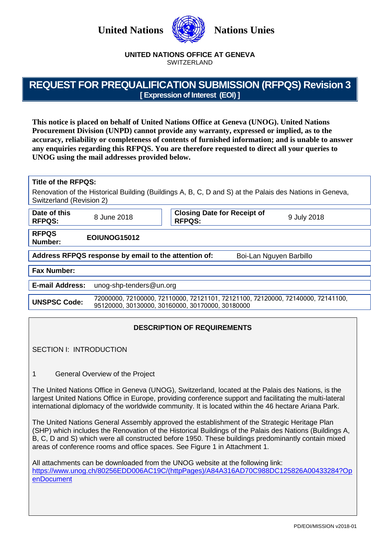**United Nations WESSEX Nations Unies** 



#### **UNITED NATIONS OFFICE AT GENEVA** SWITZERLAND

# **REQUEST FOR PREQUALIFICATION SUBMISSION (RFPQS) Revision 3 [ Expression of Interest (EOI) ]**

**This notice is placed on behalf of United Nations Office at Geneva (UNOG). United Nations Procurement Division (UNPD) cannot provide any warranty, expressed or implied, as to the accuracy, reliability or completeness of contents of furnished information; and is unable to answer any enquiries regarding this RFPQS. You are therefore requested to direct all your queries to UNOG using the mail addresses provided below.**

#### **Title of the RFPQS:**

Renovation of the Historical Building (Buildings A, B, C, D and S) at the Palais des Nations in Geneva, Switzerland (Revision 2)

| Date of this<br><b>RFPQS:</b>                                                   | 8 June 2018                                                                                                                         | <b>Closing Date for Receipt of</b><br><b>RFPQS:</b> | 9 July 2018 |  |
|---------------------------------------------------------------------------------|-------------------------------------------------------------------------------------------------------------------------------------|-----------------------------------------------------|-------------|--|
| <b>RFPQS</b><br>Number:                                                         | EOIUNOG15012                                                                                                                        |                                                     |             |  |
| Address RFPQS response by email to the attention of:<br>Boi-Lan Nguyen Barbillo |                                                                                                                                     |                                                     |             |  |
| <b>Fax Number:</b>                                                              |                                                                                                                                     |                                                     |             |  |
| <b>E-mail Address:</b>                                                          | unog-shp-tenders@un.org                                                                                                             |                                                     |             |  |
| <b>UNSPSC Code:</b>                                                             | 72000000, 72100000, 72110000, 72121101, 72121100, 72120000, 72140000, 72141100,<br>95120000, 30130000, 30160000, 30170000, 30180000 |                                                     |             |  |

# **DESCRIPTION OF REQUIREMENTS**

SECTION I: INTRODUCTION

1 General Overview of the Project

The United Nations Office in Geneva (UNOG), Switzerland, located at the Palais des Nations, is the largest United Nations Office in Europe, providing conference support and facilitating the multi-lateral international diplomacy of the worldwide community. It is located within the 46 hectare Ariana Park.

The United Nations General Assembly approved the establishment of the Strategic Heritage Plan (SHP) which includes the Renovation of the Historical Buildings of the Palais des Nations (Buildings A, B, C, D and S) which were all constructed before 1950. These buildings predominantly contain mixed areas of conference rooms and office spaces. See Figure 1 in Attachment 1.

All attachments can be downloaded from the UNOG website at the following link: [https://www.unog.ch/80256EDD006AC19C/\(httpPages\)/A84A316AD70C988DC125826A00433284?Op](https://www.unog.ch/80256EDD006AC19C/(httpPages)/A84A316AD70C988DC125826A00433284?OpenDocument) [enDocument](https://www.unog.ch/80256EDD006AC19C/(httpPages)/A84A316AD70C988DC125826A00433284?OpenDocument)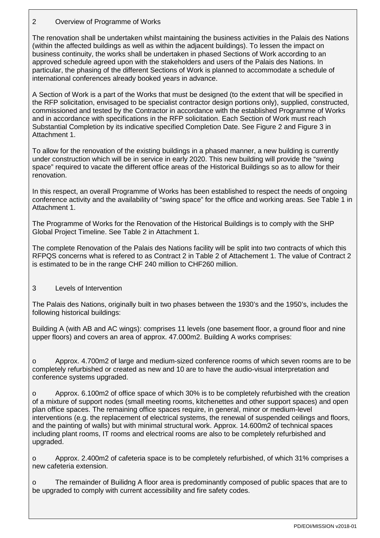# 2 Overview of Programme of Works

The renovation shall be undertaken whilst maintaining the business activities in the Palais des Nations (within the affected buildings as well as within the adjacent buildings). To lessen the impact on business continuity, the works shall be undertaken in phased Sections of Work according to an approved schedule agreed upon with the stakeholders and users of the Palais des Nations. In particular, the phasing of the different Sections of Work is planned to accommodate a schedule of international conferences already booked years in advance.

A Section of Work is a part of the Works that must be designed (to the extent that will be specified in the RFP solicitation, envisaged to be specialist contractor design portions only), supplied, constructed, commissioned and tested by the Contractor in accordance with the established Programme of Works and in accordance with specifications in the RFP solicitation. Each Section of Work must reach Substantial Completion by its indicative specified Completion Date. See Figure 2 and Figure 3 in Attachment 1.

To allow for the renovation of the existing buildings in a phased manner, a new building is currently under construction which will be in service in early 2020. This new building will provide the "swing space" required to vacate the different office areas of the Historical Buildings so as to allow for their renovation.

In this respect, an overall Programme of Works has been established to respect the needs of ongoing conference activity and the availability of "swing space" for the office and working areas. See Table 1 in Attachment 1.

The Programme of Works for the Renovation of the Historical Buildings is to comply with the SHP Global Project Timeline. See Table 2 in Attachment 1.

The complete Renovation of the Palais des Nations facility will be split into two contracts of which this RFPQS concerns what is refered to as Contract 2 in Table 2 of Attachement 1. The value of Contract 2 is estimated to be in the range CHF 240 million to CHF260 million.

# 3 Levels of Intervention

The Palais des Nations, originally built in two phases between the 1930's and the 1950's, includes the following historical buildings:

Building A (with AB and AC wings): comprises 11 levels (one basement floor, a ground floor and nine upper floors) and covers an area of approx. 47.000m2. Building A works comprises:

o Approx. 4.700m2 of large and medium-sized conference rooms of which seven rooms are to be completely refurbished or created as new and 10 are to have the audio-visual interpretation and conference systems upgraded.

o Approx. 6.100m2 of office space of which 30% is to be completely refurbished with the creation of a mixture of support nodes (small meeting rooms, kitchenettes and other support spaces) and open plan office spaces. The remaining office spaces require, in general, minor or medium-level interventions (e.g. the replacement of electrical systems, the renewal of suspended ceilings and floors, and the painting of walls) but with minimal structural work. Approx. 14.600m2 of technical spaces including plant rooms, IT rooms and electrical rooms are also to be completely refurbished and upgraded.

Approx. 2.400m2 of cafeteria space is to be completely refurbished, of which 31% comprises a new cafeteria extension.

The remainder of Builidng A floor area is predominantly composed of public spaces that are to be upgraded to comply with current accessibility and fire safety codes.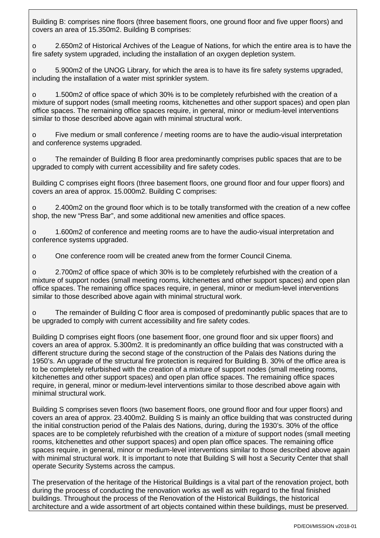Building B: comprises nine floors (three basement floors, one ground floor and five upper floors) and covers an area of 15.350m2. Building B comprises:

o 2.650m2 of Historical Archives of the League of Nations, for which the entire area is to have the fire safety system upgraded, including the installation of an oxygen depletion system.

o 5.900m2 of the UNOG Library, for which the area is to have its fire safety systems upgraded, including the installation of a water mist sprinkler system.

o 1.500m2 of office space of which 30% is to be completely refurbished with the creation of a mixture of support nodes (small meeting rooms, kitchenettes and other support spaces) and open plan office spaces. The remaining office spaces require, in general, minor or medium-level interventions similar to those described above again with minimal structural work.

o Five medium or small conference / meeting rooms are to have the audio-visual interpretation and conference systems upgraded.

o The remainder of Building B floor area predominantly comprises public spaces that are to be upgraded to comply with current accessibility and fire safety codes.

Building C comprises eight floors (three basement floors, one ground floor and four upper floors) and covers an area of approx. 15.000m2. Building C comprises:

o 2.400m2 on the ground floor which is to be totally transformed with the creation of a new coffee shop, the new "Press Bar", and some additional new amenities and office spaces.

o 1.600m2 of conference and meeting rooms are to have the audio-visual interpretation and conference systems upgraded.

o One conference room will be created anew from the former Council Cinema.

o 2.700m2 of office space of which 30% is to be completely refurbished with the creation of a mixture of support nodes (small meeting rooms, kitchenettes and other support spaces) and open plan office spaces. The remaining office spaces require, in general, minor or medium-level interventions similar to those described above again with minimal structural work.

o The remainder of Building C floor area is composed of predominantly public spaces that are to be upgraded to comply with current accessibility and fire safety codes.

Building D comprises eight floors (one basement floor, one ground floor and six upper floors) and covers an area of approx. 5.300m2. It is predominantly an office building that was constructed with a different structure during the second stage of the construction of the Palais des Nations during the 1950's. An upgrade of the structural fire protection is required for Building B. 30% of the office area is to be completely refurbished with the creation of a mixture of support nodes (small meeting rooms, kitchenettes and other support spaces) and open plan office spaces. The remaining office spaces require, in general, minor or medium-level interventions similar to those described above again with minimal structural work.

Building S comprises seven floors (two basement floors, one ground floor and four upper floors) and covers an area of approx. 23.400m2. Building S is mainly an office building that was constructed during the initial construction period of the Palais des Nations, during, during the 1930's. 30% of the office spaces are to be completely refurbished with the creation of a mixture of support nodes (small meeting rooms, kitchenettes and other support spaces) and open plan office spaces. The remaining office spaces require, in general, minor or medium-level interventions similar to those described above again with minimal structural work. It is important to note that Building S will host a Security Center that shall operate Security Systems across the campus.

The preservation of the heritage of the Historical Buildings is a vital part of the renovation project, both during the process of conducting the renovation works as well as with regard to the final finished buildings. Throughout the process of the Renovation of the Historical Buildings, the historical architecture and a wide assortment of art objects contained within these buildings, must be preserved.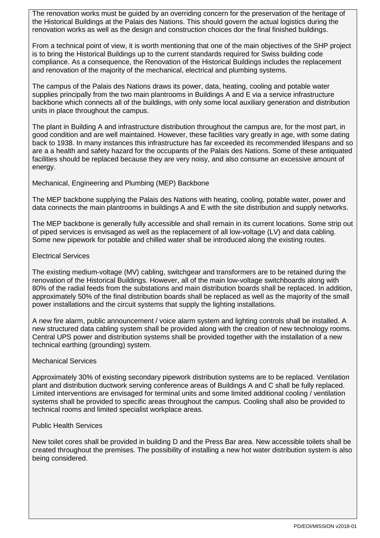The renovation works must be guided by an overriding concern for the preservation of the heritage of the Historical Buildings at the Palais des Nations. This should govern the actual logistics during the renovation works as well as the design and construction choices dor the final finished buildings.

From a technical point of view, it is worth mentioning that one of the main objectives of the SHP project is to bring the Historical Buildings up to the current standards required for Swiss building code compliance. As a consequence, the Renovation of the Historical Buildings includes the replacement and renovation of the majority of the mechanical, electrical and plumbing systems.

The campus of the Palais des Nations draws its power, data, heating, cooling and potable water supplies principally from the two main plantrooms in Buildings A and E via a service infrastructure backbone which connects all of the buildings, with only some local auxiliary generation and distribution units in place throughout the campus.

The plant in Building A and infrastructure distribution throughout the campus are, for the most part, in good condition and are well maintained. However, these facilities vary greatly in age, with some dating back to 1938. In many instances this infrastructure has far exceeded its recommended lifespans and so are a a health and safety hazard for the occupants of the Palais des Nations. Some of these antiquated facilities should be replaced because they are very noisy, and also consume an excessive amount of energy.

Mechanical, Engineering and Plumbing (MEP) Backbone

The MEP backbone supplying the Palais des Nations with heating, cooling, potable water, power and data connects the main plantrooms in buildings A and E with the site distribution and supply networks.

The MEP backbone is generally fully accessible and shall remain in its current locations. Some strip out of piped services is envisaged as well as the replacement of all low-voltage (LV) and data cabling. Some new pipework for potable and chilled water shall be introduced along the existing routes.

#### Electrical Services

The existing medium-voltage (MV) cabling, switchgear and transformers are to be retained during the renovation of the Historical Buildings. However, all of the main low-voltage switchboards along with 80% of the radial feeds from the substations and main distribution boards shall be replaced. In addition, approximately 50% of the final distribution boards shall be replaced as well as the majority of the small power installations and the circuit systems that supply the lighting installations.

A new fire alarm, public announcement / voice alarm system and lighting controls shall be installed. A new structured data cabling system shall be provided along with the creation of new technology rooms. Central UPS power and distribution systems shall be provided together with the installation of a new technical earthing (grounding) system.

#### Mechanical Services

Approximately 30% of existing secondary pipework distribution systems are to be replaced. Ventilation plant and distribution ductwork serving conference areas of Buildings A and C shall be fully replaced. Limited interventions are envisaged for terminal units and some limited additional cooling / ventilation systems shall be provided to specific areas throughout the campus. Cooling shall also be provided to technical rooms and limited specialist workplace areas.

#### Public Health Services

New toilet cores shall be provided in building D and the Press Bar area. New accessible toilets shall be created throughout the premises. The possibility of installing a new hot water distribution system is also being considered.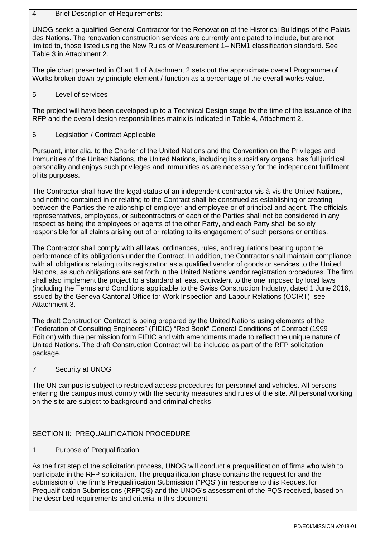#### 4 Brief Description of Requirements:

UNOG seeks a qualified General Contractor for the Renovation of the Historical Buildings of the Palais des Nations. The renovation construction services are currently anticipated to include, but are not limited to, those listed using the New Rules of Measurement 1– NRM1 classification standard. See Table 3 in Attachment 2.

The pie chart presented in Chart 1 of Attachment 2 sets out the approximate overall Programme of Works broken down by principle element / function as a percentage of the overall works value.

5 Level of services

The project will have been developed up to a Technical Design stage by the time of the issuance of the RFP and the overall design responsibilities matrix is indicated in Table 4, Attachment 2.

6 Legislation / Contract Applicable

Pursuant, inter alia, to the Charter of the United Nations and the Convention on the Privileges and Immunities of the United Nations, the United Nations, including its subsidiary organs, has full juridical personality and enjoys such privileges and immunities as are necessary for the independent fulfillment of its purposes.

The Contractor shall have the legal status of an independent contractor vis-à-vis the United Nations, and nothing contained in or relating to the Contract shall be construed as establishing or creating between the Parties the relationship of employer and employee or of principal and agent. The officials, representatives, employees, or subcontractors of each of the Parties shall not be considered in any respect as being the employees or agents of the other Party, and each Party shall be solely responsible for all claims arising out of or relating to its engagement of such persons or entities.

The Contractor shall comply with all laws, ordinances, rules, and regulations bearing upon the performance of its obligations under the Contract. In addition, the Contractor shall maintain compliance with all obligations relating to its registration as a qualified vendor of goods or services to the United Nations, as such obligations are set forth in the United Nations vendor registration procedures. The firm shall also implement the project to a standard at least equivalent to the one imposed by local laws (including the Terms and Conditions applicable to the Swiss Construction Industry, dated 1 June 2016, issued by the Geneva Cantonal Office for Work Inspection and Labour Relations (OCIRT), see Attachment 3.

The draft Construction Contract is being prepared by the United Nations using elements of the "Federation of Consulting Engineers" (FIDIC) "Red Book" General Conditions of Contract (1999 Edition) with due permission form FIDIC and with amendments made to reflect the unique nature of United Nations. The draft Construction Contract will be included as part of the RFP solicitation package.

# 7 Security at UNOG

The UN campus is subject to restricted access procedures for personnel and vehicles. All persons entering the campus must comply with the security measures and rules of the site. All personal working on the site are subject to background and criminal checks.

# SECTION II: PREQUALIFICATION PROCEDURE

1 Purpose of Prequalification

As the first step of the solicitation process, UNOG will conduct a prequalification of firms who wish to participate in the RFP solicitation. The prequalification phase contains the request for and the submission of the firm's Prequalification Submission ("PQS") in response to this Request for Prequalification Submissions (RFPQS) and the UNOG's assessment of the PQS received, based on the described requirements and criteria in this document.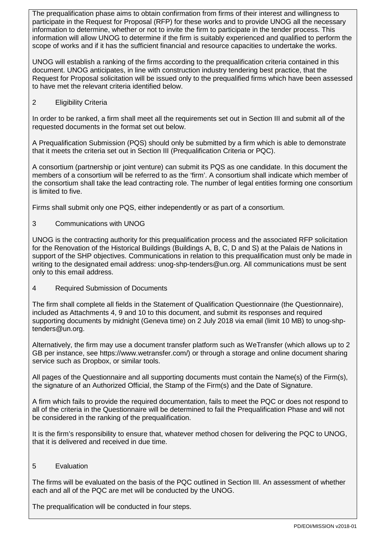The prequalification phase aims to obtain confirmation from firms of their interest and willingness to participate in the Request for Proposal (RFP) for these works and to provide UNOG all the necessary information to determine, whether or not to invite the firm to participate in the tender process. This information will allow UNOG to determine if the firm is suitably experienced and qualified to perform the scope of works and if it has the sufficient financial and resource capacities to undertake the works.

UNOG will establish a ranking of the firms according to the prequalification criteria contained in this document. UNOG anticipates, in line with construction industry tendering best practice, that the Request for Proposal solicitation will be issued only to the prequalified firms which have been assessed to have met the relevant criteria identified below.

#### 2 Eligibility Criteria

In order to be ranked, a firm shall meet all the requirements set out in Section III and submit all of the requested documents in the format set out below.

A Prequalification Submission (PQS) should only be submitted by a firm which is able to demonstrate that it meets the criteria set out in Section III (Prequalification Criteria or PQC).

A consortium (partnership or joint venture) can submit its PQS as one candidate. In this document the members of a consortium will be referred to as the 'firm'. A consortium shall indicate which member of the consortium shall take the lead contracting role. The number of legal entities forming one consortium is limited to five.

Firms shall submit only one PQS, either independently or as part of a consortium.

3 Communications with UNOG

UNOG is the contracting authority for this prequalification process and the associated RFP solicitation for the Renovation of the Historical Buildings (Buildings A, B, C, D and S) at the Palais de Nations in support of the SHP objectives. Communications in relation to this prequalification must only be made in writing to the designated email address: unog-shp-tenders@un.org. All communications must be sent only to this email address.

4 Required Submission of Documents

The firm shall complete all fields in the Statement of Qualification Questionnaire (the Questionnaire), included as Attachments 4, 9 and 10 to this document, and submit its responses and required supporting documents by midnight (Geneva time) on 2 July 2018 via email (limit 10 MB) to [unog-shp](mailto:unog-shp-tenders@un.org)[tenders@un.org.](mailto:unog-shp-tenders@un.org)

Alternatively, the firm may use a document transfer platform such as WeTransfer (which allows up to 2 GB per instance, see https://www.wetransfer.com/) or through a storage and online document sharing service such as Dropbox, or similar tools.

All pages of the Questionnaire and all supporting documents must contain the Name(s) of the Firm(s), the signature of an Authorized Official, the Stamp of the Firm(s) and the Date of Signature.

A firm which fails to provide the required documentation, fails to meet the PQC or does not respond to all of the criteria in the Questionnaire will be determined to fail the Prequalification Phase and will not be considered in the ranking of the prequalification.

It is the firm's responsibility to ensure that, whatever method chosen for delivering the PQC to UNOG, that it is delivered and received in due time.

#### 5 Evaluation

The firms will be evaluated on the basis of the PQC outlined in Section III. An assessment of whether each and all of the PQC are met will be conducted by the UNOG.

The prequalification will be conducted in four steps.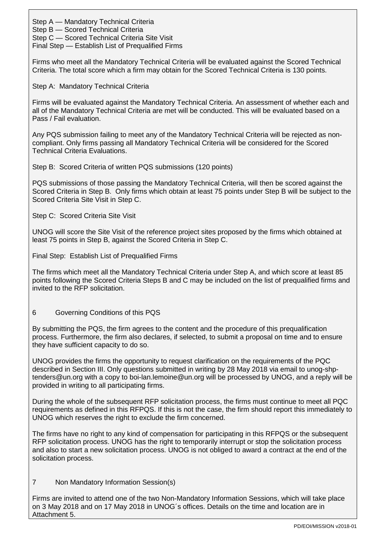Step A — Mandatory Technical Criteria

Step B — Scored Technical Criteria

Step C — Scored Technical Criteria Site Visit

Final Step — Establish List of Prequalified Firms

Firms who meet all the Mandatory Technical Criteria will be evaluated against the Scored Technical Criteria. The total score which a firm may obtain for the Scored Technical Criteria is 130 points.

Step A: Mandatory Technical Criteria

Firms will be evaluated against the Mandatory Technical Criteria. An assessment of whether each and all of the Mandatory Technical Criteria are met will be conducted. This will be evaluated based on a Pass / Fail evaluation.

Any PQS submission failing to meet any of the Mandatory Technical Criteria will be rejected as noncompliant. Only firms passing all Mandatory Technical Criteria will be considered for the Scored Technical Criteria Evaluations.

Step B: Scored Criteria of written PQS submissions (120 points)

PQS submissions of those passing the Mandatory Technical Criteria, will then be scored against the Scored Criteria in Step B. Only firms which obtain at least 75 points under Step B will be subject to the Scored Criteria Site Visit in Step C.

Step C: Scored Criteria Site Visit

UNOG will score the Site Visit of the reference project sites proposed by the firms which obtained at least 75 points in Step B, against the Scored Criteria in Step C.

Final Step: Establish List of Prequalified Firms

The firms which meet all the Mandatory Technical Criteria under Step A, and which score at least 85 points following the Scored Criteria Steps B and C may be included on the list of prequalified firms and invited to the RFP solicitation.

# 6 Governing Conditions of this PQS

By submitting the PQS, the firm agrees to the content and the procedure of this prequalification process. Furthermore, the firm also declares, if selected, to submit a proposal on time and to ensure they have sufficient capacity to do so.

UNOG provides the firms the opportunity to request clarification on the requirements of the PQC described in Section III. Only questions submitted in writing by 28 May 2018 via email to unog-shptenders@un.org with a copy to boi-lan.lemoine@un.org will be processed by UNOG, and a reply will be provided in writing to all participating firms.

During the whole of the subsequent RFP solicitation process, the firms must continue to meet all PQC requirements as defined in this RFPQS. If this is not the case, the firm should report this immediately to UNOG which reserves the right to exclude the firm concerned.

The firms have no right to any kind of compensation for participating in this RFPQS or the subsequent RFP solicitation process. UNOG has the right to temporarily interrupt or stop the solicitation process and also to start a new solicitation process. UNOG is not obliged to award a contract at the end of the solicitation process.

# 7 Non Mandatory Information Session(s)

Firms are invited to attend one of the two Non-Mandatory Information Sessions, which will take place on 3 May 2018 and on 17 May 2018 in UNOG´s offices. Details on the time and location are in Attachment 5.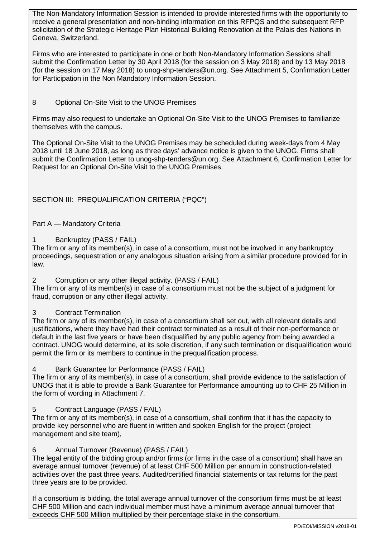The Non-Mandatory Information Session is intended to provide interested firms with the opportunity to receive a general presentation and non-binding information on this RFPQS and the subsequent RFP solicitation of the Strategic Heritage Plan Historical Building Renovation at the Palais des Nations in Geneva, Switzerland.

Firms who are interested to participate in one or both Non-Mandatory Information Sessions shall submit the Confirmation Letter by 30 April 2018 (for the session on 3 May 2018) and by 13 May 2018 (for the session on 17 May 2018) to unog-shp-tenders@un.org. See Attachment 5, Confirmation Letter for Participation in the Non Mandatory Information Session.

# 8 Optional On-Site Visit to the UNOG Premises

Firms may also request to undertake an Optional On-Site Visit to the UNOG Premises to familiarize themselves with the campus.

The Optional On-Site Visit to the UNOG Premises may be scheduled during week-days from 4 May 2018 until 18 June 2018, as long as three days' advance notice is given to the UNOG. Firms shall submit the Confirmation Letter to unog-shp-tenders@un.org. See Attachment 6, Confirmation Letter for Request for an Optional On-Site Visit to the UNOG Premises.

# SECTION III: PREQUALIFICATION CRITERIA ("PQC")

# Part A — Mandatory Criteria

#### Bankruptcy (PASS / FAIL)

The firm or any of its member(s), in case of a consortium, must not be involved in any bankruptcy proceedings, sequestration or any analogous situation arising from a similar procedure provided for in law.

2 Corruption or any other illegal activity. (PASS / FAIL)

The firm or any of its member(s) in case of a consortium must not be the subject of a judgment for fraud, corruption or any other illegal activity.

# 3 Contract Termination

The firm or any of its member(s), in case of a consortium shall set out, with all relevant details and justifications, where they have had their contract terminated as a result of their non-performance or default in the last five years or have been disqualified by any public agency from being awarded a contract. UNOG would determine, at its sole discretion, if any such termination or disqualification would permit the firm or its members to continue in the prequalification process.

# Bank Guarantee for Performance (PASS / FAIL)

The firm or any of its member(s), in case of a consortium, shall provide evidence to the satisfaction of UNOG that it is able to provide a Bank Guarantee for Performance amounting up to CHF 25 Million in the form of wording in Attachment 7.

# 5 Contract Language (PASS / FAIL)

The firm or any of its member(s), in case of a consortium, shall confirm that it has the capacity to provide key personnel who are fluent in written and spoken English for the project (project management and site team),

#### 6 Annual Turnover (Revenue) (PASS / FAIL)

The legal entity of the bidding group and/or firms (or firms in the case of a consortium) shall have an average annual turnover (revenue) of at least CHF 500 Million per annum in construction-related activities over the past three years. Audited/certified financial statements or tax returns for the past three years are to be provided.

If a consortium is bidding, the total average annual turnover of the consortium firms must be at least CHF 500 Million and each individual member must have a minimum average annual turnover that exceeds CHF 500 Million multiplied by their percentage stake in the consortium.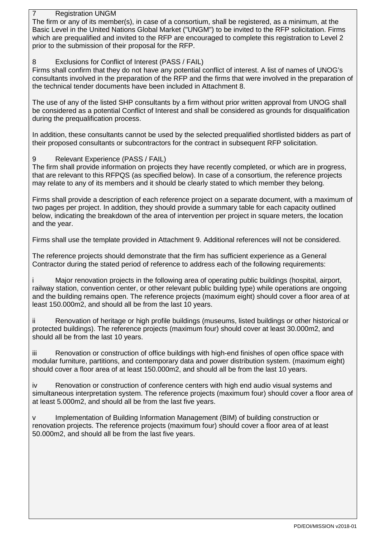#### **Registration UNGM**

The firm or any of its member(s), in case of a consortium, shall be registered, as a minimum, at the Basic Level in the United Nations Global Market ("UNGM") to be invited to the RFP solicitation. Firms which are prequalified and invited to the RFP are encouraged to complete this registration to Level 2 prior to the submission of their proposal for the RFP.

### 8 Exclusions for Conflict of Interest (PASS / FAIL)

Firms shall confirm that they do not have any potential conflict of interest. A list of names of UNOG's consultants involved in the preparation of the RFP and the firms that were involved in the preparation of the technical tender documents have been included in Attachment 8.

The use of any of the listed SHP consultants by a firm without prior written approval from UNOG shall be considered as a potential Conflict of Interest and shall be considered as grounds for disqualification during the prequalification process.

In addition, these consultants cannot be used by the selected prequalified shortlisted bidders as part of their proposed consultants or subcontractors for the contract in subsequent RFP solicitation.

#### 9 Relevant Experience (PASS / FAIL)

The firm shall provide information on projects they have recently completed, or which are in progress, that are relevant to this RFPQS (as specified below). In case of a consortium, the reference projects may relate to any of its members and it should be clearly stated to which member they belong.

Firms shall provide a description of each reference project on a separate document, with a maximum of two pages per project. In addition, they should provide a summary table for each capacity outlined below, indicating the breakdown of the area of intervention per project in square meters, the location and the year.

Firms shall use the template provided in Attachment 9. Additional references will not be considered.

The reference projects should demonstrate that the firm has sufficient experience as a General Contractor during the stated period of reference to address each of the following requirements:

Major renovation projects in the following area of operating public buildings (hospital, airport, railway station, convention center, or other relevant public building type) while operations are ongoing and the building remains open. The reference projects (maximum eight) should cover a floor area of at least 150.000m2, and should all be from the last 10 years.

ii Renovation of heritage or high profile buildings (museums, listed buildings or other historical or protected buildings). The reference projects (maximum four) should cover at least 30.000m2, and should all be from the last 10 years.

iii Renovation or construction of office buildings with high-end finishes of open office space with modular furniture, partitions, and contemporary data and power distribution system. (maximum eight) should cover a floor area of at least 150.000m2, and should all be from the last 10 years.

iv Renovation or construction of conference centers with high end audio visual systems and simultaneous interpretation system. The reference projects (maximum four) should cover a floor area of at least 5.000m2, and should all be from the last five years.

v Implementation of Building Information Management (BIM) of building construction or renovation projects. The reference projects (maximum four) should cover a floor area of at least 50.000m2, and should all be from the last five years.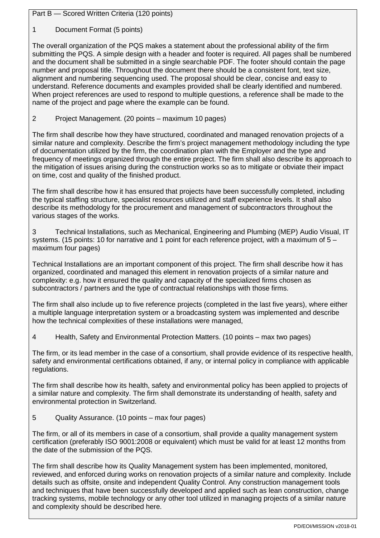Part B — Scored Written Criteria (120 points)

1 Document Format (5 points)

The overall organization of the PQS makes a statement about the professional ability of the firm submitting the PQS. A simple design with a header and footer is required. All pages shall be numbered and the document shall be submitted in a single searchable PDF. The footer should contain the page number and proposal title. Throughout the document there should be a consistent font, text size, alignment and numbering sequencing used. The proposal should be clear, concise and easy to understand. Reference documents and examples provided shall be clearly identified and numbered. When project references are used to respond to multiple questions, a reference shall be made to the name of the project and page where the example can be found.

# 2 Project Management. (20 points – maximum 10 pages)

The firm shall describe how they have structured, coordinated and managed renovation projects of a similar nature and complexity. Describe the firm's project management methodology including the type of documentation utilized by the firm, the coordination plan with the Employer and the type and frequency of meetings organized through the entire project. The firm shall also describe its approach to the mitigation of issues arising during the construction works so as to mitigate or obviate their impact on time, cost and quality of the finished product.

The firm shall describe how it has ensured that projects have been successfully completed, including the typical staffing structure, specialist resources utilized and staff experience levels. It shall also describe its methodology for the procurement and management of subcontractors throughout the various stages of the works.

3 Technical Installations, such as Mechanical, Engineering and Plumbing (MEP) Audio Visual, IT systems. (15 points: 10 for narrative and 1 point for each reference project, with a maximum of 5 – maximum four pages)

Technical Installations are an important component of this project. The firm shall describe how it has organized, coordinated and managed this element in renovation projects of a similar nature and complexity: e.g. how it ensured the quality and capacity of the specialized firms chosen as subcontractors / partners and the type of contractual relationships with those firms.

The firm shall also include up to five reference projects (completed in the last five years), where either a multiple language interpretation system or a broadcasting system was implemented and describe how the technical complexities of these installations were managed,

4 Health, Safety and Environmental Protection Matters. (10 points – max two pages)

The firm, or its lead member in the case of a consortium, shall provide evidence of its respective health, safety and environmental certifications obtained, if any, or internal policy in compliance with applicable regulations.

The firm shall describe how its health, safety and environmental policy has been applied to projects of a similar nature and complexity. The firm shall demonstrate its understanding of health, safety and environmental protection in Switzerland.

5 Quality Assurance. (10 points – max four pages)

The firm, or all of its members in case of a consortium, shall provide a quality management system certification (preferably ISO 9001:2008 or equivalent) which must be valid for at least 12 months from the date of the submission of the PQS.

The firm shall describe how its Quality Management system has been implemented, monitored, reviewed, and enforced during works on renovation projects of a similar nature and complexity. Include details such as offsite, onsite and independent Quality Control. Any construction management tools and techniques that have been successfully developed and applied such as lean construction, change tracking systems, mobile technology or any other tool utilized in managing projects of a similar nature and complexity should be described here.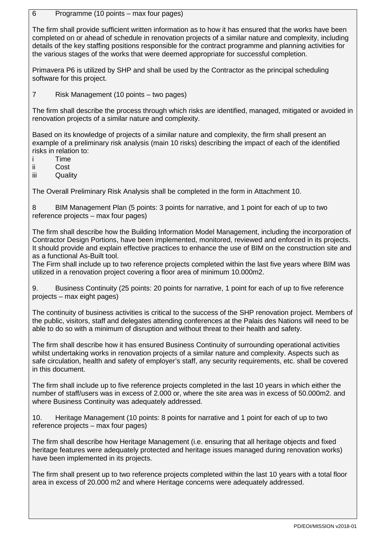6 Programme (10 points – max four pages)

The firm shall provide sufficient written information as to how it has ensured that the works have been completed on or ahead of schedule in renovation projects of a similar nature and complexity, including details of the key staffing positions responsible for the contract programme and planning activities for the various stages of the works that were deemed appropriate for successful completion.

Primavera P6 is utilized by SHP and shall be used by the Contractor as the principal scheduling software for this project.

7 Risk Management (10 points – two pages)

The firm shall describe the process through which risks are identified, managed, mitigated or avoided in renovation projects of a similar nature and complexity.

Based on its knowledge of projects of a similar nature and complexity, the firm shall present an example of a preliminary risk analysis (main 10 risks) describing the impact of each of the identified risks in relation to:

i Time

ii Cost

iii Quality

The Overall Preliminary Risk Analysis shall be completed in the form in Attachment 10.

8 BIM Management Plan (5 points: 3 points for narrative, and 1 point for each of up to two reference projects – max four pages)

The firm shall describe how the Building Information Model Management, including the incorporation of Contractor Design Portions, have been implemented, monitored, reviewed and enforced in its projects. It should provide and explain effective practices to enhance the use of BIM on the construction site and as a functional As-Built tool.

The Firm shall include up to two reference projects completed within the last five years where BIM was utilized in a renovation project covering a floor area of minimum 10.000m2.

9. Business Continuity (25 points: 20 points for narrative, 1 point for each of up to five reference projects – max eight pages)

The continuity of business activities is critical to the success of the SHP renovation project. Members of the public, visitors, staff and delegates attending conferences at the Palais des Nations will need to be able to do so with a minimum of disruption and without threat to their health and safety.

The firm shall describe how it has ensured Business Continuity of surrounding operational activities whilst undertaking works in renovation projects of a similar nature and complexity. Aspects such as safe circulation, health and safety of employer's staff, any security requirements, etc. shall be covered in this document.

The firm shall include up to five reference projects completed in the last 10 years in which either the number of staff/users was in excess of 2.000 or, where the site area was in excess of 50.000m2. and where Business Continuity was adequately addressed.

10. Heritage Management (10 points: 8 points for narrative and 1 point for each of up to two reference projects – max four pages)

The firm shall describe how Heritage Management (i.e. ensuring that all heritage objects and fixed heritage features were adequately protected and heritage issues managed during renovation works) have been implemented in its projects.

The firm shall present up to two reference projects completed within the last 10 years with a total floor area in excess of 20.000 m2 and where Heritage concerns were adequately addressed.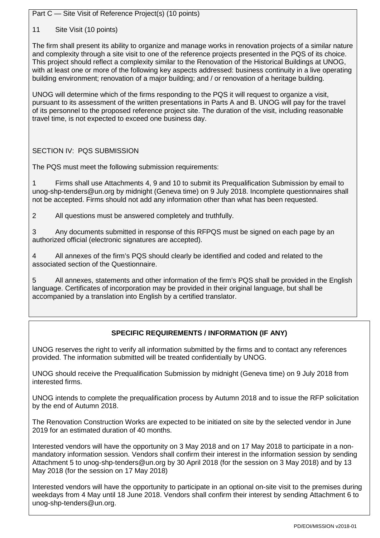Part C — Site Visit of Reference Project(s) (10 points)

11 Site Visit (10 points)

The firm shall present its ability to organize and manage works in renovation projects of a similar nature and complexity through a site visit to one of the reference projects presented in the PQS of its choice. This project should reflect a complexity similar to the Renovation of the Historical Buildings at UNOG, with at least one or more of the following key aspects addressed: business continuity in a live operating building environment; renovation of a major building; and / or renovation of a heritage building.

UNOG will determine which of the firms responding to the PQS it will request to organize a visit, pursuant to its assessment of the written presentations in Parts A and B. UNOG will pay for the travel of its personnel to the proposed reference project site. The duration of the visit, including reasonable travel time, is not expected to exceed one business day.

# SECTION IV: PQS SUBMISSION

The PQS must meet the following submission requirements:

1 Firms shall use Attachments 4, 9 and 10 to submit its Prequalification Submission by email to unog-shp-tenders@un.org by midnight (Geneva time) on 9 July 2018. Incomplete questionnaires shall not be accepted. Firms should not add any information other than what has been requested.

2 All questions must be answered completely and truthfully.

3 Any documents submitted in response of this RFPQS must be signed on each page by an authorized official (electronic signatures are accepted).

4 All annexes of the firm's PQS should clearly be identified and coded and related to the associated section of the Questionnaire.

5 All annexes, statements and other information of the firm's PQS shall be provided in the English language. Certificates of incorporation may be provided in their original language, but shall be accompanied by a translation into English by a certified translator.

# **SPECIFIC REQUIREMENTS / INFORMATION (IF ANY)**

UNOG reserves the right to verify all information submitted by the firms and to contact any references provided. The information submitted will be treated confidentially by UNOG.

UNOG should receive the Prequalification Submission by midnight (Geneva time) on 9 July 2018 from interested firms.

UNOG intends to complete the prequalification process by Autumn 2018 and to issue the RFP solicitation by the end of Autumn 2018.

The Renovation Construction Works are expected to be initiated on site by the selected vendor in June 2019 for an estimated duration of 40 months.

Interested vendors will have the opportunity on 3 May 2018 and on 17 May 2018 to participate in a nonmandatory information session. Vendors shall confirm their interest in the information session by sending Attachment 5 to [unog-shp-tenders@un.org](mailto:unog-shp-tenders@un.org) by 30 April 2018 (for the session on 3 May 2018) and by 13 May 2018 (for the session on 17 May 2018)

Interested vendors will have the opportunity to participate in an optional on-site visit to the premises during weekdays from 4 May until 18 June 2018. Vendors shall confirm their interest by sending Attachment 6 to unog-shp-tenders@un.org.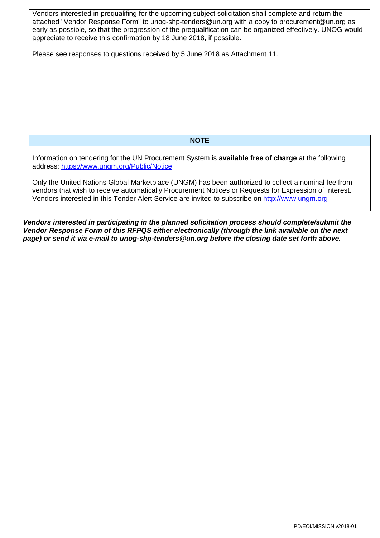Vendors interested in prequalifing for the upcoming subject solicitation shall complete and return the attached "Vendor Response Form" to unog-shp-tenders@un.org with a copy to procurement@un.org as early as possible, so that the progression of the prequalification can be organized effectively. UNOG would appreciate to receive this confirmation by 18 June 2018, if possible.

Please see responses to questions received by 5 June 2018 as Attachment 11.

#### **NOTE**

Information on tendering for the UN Procurement System is **available free of charge** at the following address:<https://www.ungm.org/Public/Notice>

Only the United Nations Global Marketplace (UNGM) has been authorized to collect a nominal fee from vendors that wish to receive automatically Procurement Notices or Requests for Expression of Interest. Vendors interested in this Tender Alert Service are invited to subscribe on [http://www.ungm.org](http://www.ungm.org/)

*Vendors interested in participating in the planned solicitation process should complete/submit the Vendor Response Form of this RFPQS either electronically (through the link available on the next page) or send it via e-mail to unog-shp-tenders@un.org before the closing date set forth above.*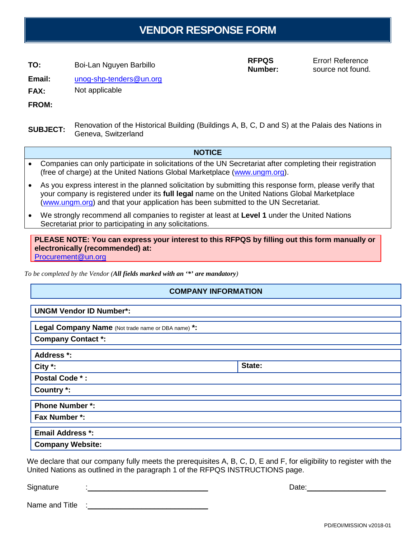# **VENDOR RESPONSE FORM**

**TO:** Boi-Lan Nguyen Barbillo **RFPQS**

**Number:**

Error! Reference source not found.

**Email:** [unog-shp-tenders@un.org](mailto:unog-shp-tenders@un.org)

**FAX:** Not applicable

**FROM:**

**SUBJECT:** Renovation of the Historical Building (Buildings A, B, C, D and S) at the Palais des Nations in Geneva, Switzerland

#### **NOTICE**

- Companies can only participate in solicitations of the UN Secretariat after completing their registration (free of charge) at the United Nations Global Marketplace [\(www.ungm.org\)](http://www.ungm.org/).
- As you express interest in the planned solicitation by submitting this response form, please verify that your company is registered under its **full legal** name on the United Nations Global Marketplace [\(www.ungm.org\)](http://www.ungm.org/) and that your application has been submitted to the UN Secretariat.
- We strongly recommend all companies to register at least at **Level 1** under the United Nations Secretariat prior to participating in any solicitations.

**PLEASE NOTE: You can express your interest to this RFPQS by filling out this form manually or electronically (recommended) at:** Procurement@un.org

*To be completed by the Vendor (All fields marked with an '\*' are mandatory)*

# **COMPANY INFORMATION**

| <b>UNGM Vendor ID Number*:</b>                     |        |
|----------------------------------------------------|--------|
| Legal Company Name (Not trade name or DBA name) *: |        |
| <b>Company Contact *:</b>                          |        |
| Address *:                                         |        |
| City $*$ :                                         | State: |
| Postal Code *:                                     |        |
| Country *:                                         |        |
| <b>Phone Number *:</b>                             |        |
| Fax Number *:                                      |        |
| <b>Email Address *:</b>                            |        |
| <b>Company Website:</b>                            |        |

We declare that our company fully meets the prerequisites A, B, C, D, E and F, for eligibility to register with the United Nations as outlined in the paragraph 1 of the RFPQS INSTRUCTIONS page.

Signature :\_\_\_\_\_\_\_\_\_\_\_\_\_\_\_\_\_\_\_\_\_\_\_\_\_\_\_\_\_ Date:\_\_\_\_\_\_\_\_\_\_\_\_\_\_\_\_\_\_\_

Name and Title

PD/EOI/MISSION v2018-01